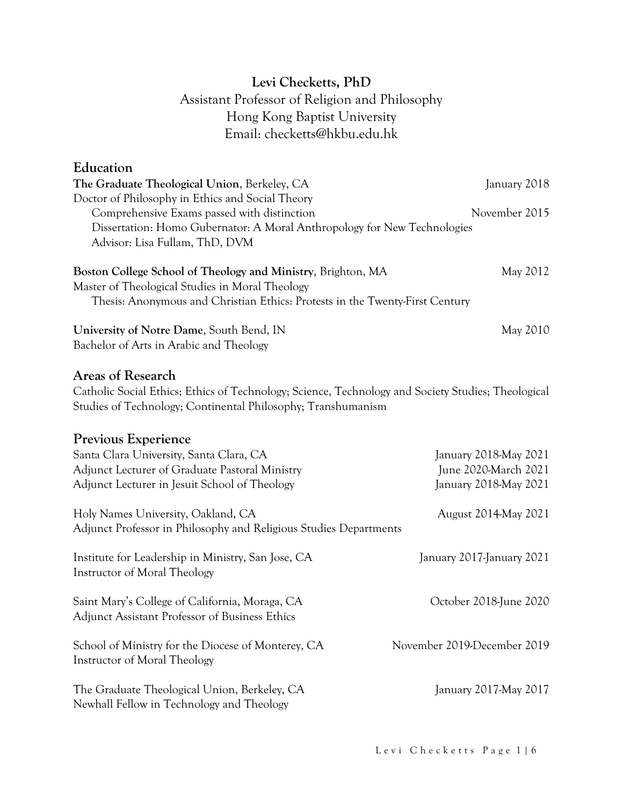# **Levi Checketts, PhD** Assistant Professor of Religion and Philosophy Hong Kong Baptist University Email: checketts@hkbu.edu.hk

### **Education**

Instructor of Moral Theology

| The Graduate Theological Union, Berkeley, CA<br>Doctor of Philosophy in Ethics and Social Theory                                                                                                | January 2018                |
|-------------------------------------------------------------------------------------------------------------------------------------------------------------------------------------------------|-----------------------------|
| Comprehensive Exams passed with distinction<br>Dissertation: Homo Gubernator: A Moral Anthropology for New Technologies<br>Advisor: Lisa Fullam, ThD, DVM                                       | November 2015               |
| Boston College School of Theology and Ministry, Brighton, MA<br>Master of Theological Studies in Moral Theology<br>Thesis: Anonymous and Christian Ethics: Protests in the Twenty-First Century | May 2012                    |
| University of Notre Dame, South Bend, IN<br>Bachelor of Arts in Arabic and Theology                                                                                                             | May 2010                    |
| <b>Areas of Research</b><br>Catholic Social Ethics; Ethics of Technology; Science, Technology and Society Studies; Theological<br>Studies of Technology; Continental Philosophy; Transhumanism  |                             |
| Previous Experience                                                                                                                                                                             |                             |
| Santa Clara University, Santa Clara, CA                                                                                                                                                         | January 2018-May 2021       |
| Adjunct Lecturer of Graduate Pastoral Ministry                                                                                                                                                  | June 2020-March 2021        |
| Adjunct Lecturer in Jesuit School of Theology                                                                                                                                                   | January 2018-May 2021       |
| Holy Names University, Oakland, CA<br>August 2014-May 2021<br>Adjunct Professor in Philosophy and Religious Studies Departments                                                                 |                             |
| Institute for Leadership in Ministry, San Jose, CA<br>Instructor of Moral Theology                                                                                                              | January 2017-January 2021   |
| Saint Mary's College of California, Moraga, CA<br>Adjunct Assistant Professor of Business Ethics                                                                                                | October 2018-June 2020      |
| School of Ministry for the Diocese of Monterey, CA                                                                                                                                              | November 2019-December 2019 |

The Graduate Theological Union, Berkeley, CA January 2017-May 2017 Newhall Fellow in Technology and Theology

Levi Checketts Page 1 | 6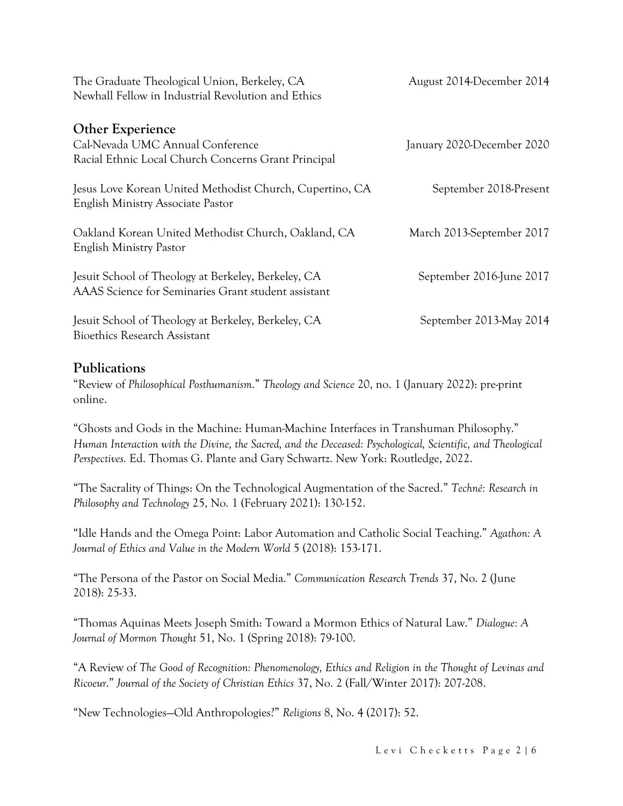| The Graduate Theological Union, Berkeley, CA<br>Newhall Fellow in Industrial Revolution and Ethics                 | August 2014-December 2014  |
|--------------------------------------------------------------------------------------------------------------------|----------------------------|
| <b>Other Experience</b><br>Cal-Nevada UMC Annual Conference<br>Racial Ethnic Local Church Concerns Grant Principal | January 2020-December 2020 |
| Jesus Love Korean United Methodist Church, Cupertino, CA<br>English Ministry Associate Pastor                      | September 2018-Present     |
| Oakland Korean United Methodist Church, Oakland, CA<br>English Ministry Pastor                                     | March 2013-September 2017  |
| Jesuit School of Theology at Berkeley, Berkeley, CA<br>AAAS Science for Seminaries Grant student assistant         | September 2016-June 2017   |
| Jesuit School of Theology at Berkeley, Berkeley, CA<br><b>Bioethics Research Assistant</b>                         | September 2013-May 2014    |

### **Publications**

"Review of *Philosophical Posthumanism*." *Theology and Science* 20, no. 1 (January 2022): pre-print online.

"Ghosts and Gods in the Machine: Human-Machine Interfaces in Transhuman Philosophy." *Human Interaction with the Divine, the Sacred, and the Deceased: Psychological, Scientific, and Theological Perspectives.* Ed. Thomas G. Plante and Gary Schwartz. New York: Routledge, 2022.

"The Sacrality of Things: On the Technological Augmentation of the Sacred." *Techné: Research in Philosophy and Technology* 25, No. 1 (February 2021): 130-152.

"Idle Hands and the Omega Point: Labor Automation and Catholic Social Teaching." *Agathon: A Journal of Ethics and Value in the Modern World* 5 (2018): 153-171.

"The Persona of the Pastor on Social Media." *Communication Research Trends* 37, No. 2 (June 2018): 25-33.

"Thomas Aquinas Meets Joseph Smith: Toward a Mormon Ethics of Natural Law." *Dialogue: A Journal of Mormon Thought* 51, No. 1 (Spring 2018): 79-100.

"A Review of *The Good of Recognition: Phenomenology, Ethics and Religion in the Thought of Levinas and Ricoeur*." *Journal of the Society of Christian Ethics* 37, No. 2 (Fall/Winter 2017): 207-208.

"New Technologies—Old Anthropologies?" *Religions* 8, No. 4 (2017): 52.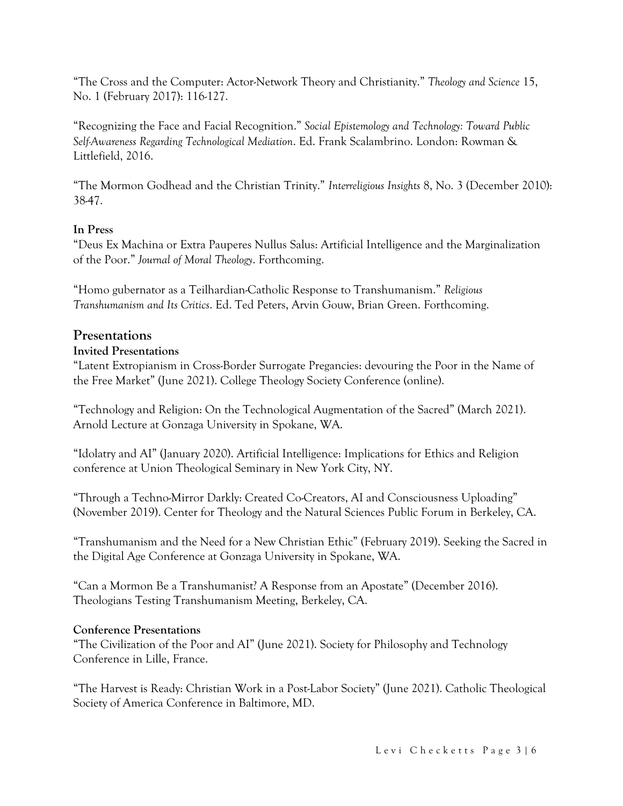"The Cross and the Computer: Actor-Network Theory and Christianity." *Theology and Science* 15, No. 1 (February 2017): 116-127.

"Recognizing the Face and Facial Recognition." *Social Epistemology and Technology: Toward Public Self-Awareness Regarding Technological Mediation*. Ed. Frank Scalambrino. London: Rowman & Littlefield, 2016.

"The Mormon Godhead and the Christian Trinity." *Interreligious Insights* 8, No. 3 (December 2010): 38-47.

#### **In Press**

"Deus Ex Machina or Extra Pauperes Nullus Salus: Artificial Intelligence and the Marginalization of the Poor." *Journal of Moral Theology*. Forthcoming.

"Homo gubernator as a Teilhardian-Catholic Response to Transhumanism." *Religious Transhumanism and Its Critics*. Ed. Ted Peters, Arvin Gouw, Brian Green. Forthcoming.

#### **Presentations**

#### **Invited Presentations**

"Latent Extropianism in Cross-Border Surrogate Pregancies: devouring the Poor in the Name of the Free Market" (June 2021). College Theology Society Conference (online).

"Technology and Religion: On the Technological Augmentation of the Sacred" (March 2021). Arnold Lecture at Gonzaga University in Spokane, WA.

"Idolatry and AI" (January 2020). Artificial Intelligence: Implications for Ethics and Religion conference at Union Theological Seminary in New York City, NY.

"Through a Techno-Mirror Darkly: Created Co-Creators, AI and Consciousness Uploading" (November 2019). Center for Theology and the Natural Sciences Public Forum in Berkeley, CA.

"Transhumanism and the Need for a New Christian Ethic" (February 2019). Seeking the Sacred in the Digital Age Conference at Gonzaga University in Spokane, WA.

"Can a Mormon Be a Transhumanist? A Response from an Apostate" (December 2016). Theologians Testing Transhumanism Meeting, Berkeley, CA.

#### **Conference Presentations**

"The Civilization of the Poor and AI" (June 2021). Society for Philosophy and Technology Conference in Lille, France.

"The Harvest is Ready: Christian Work in a Post-Labor Society" (June 2021). Catholic Theological Society of America Conference in Baltimore, MD.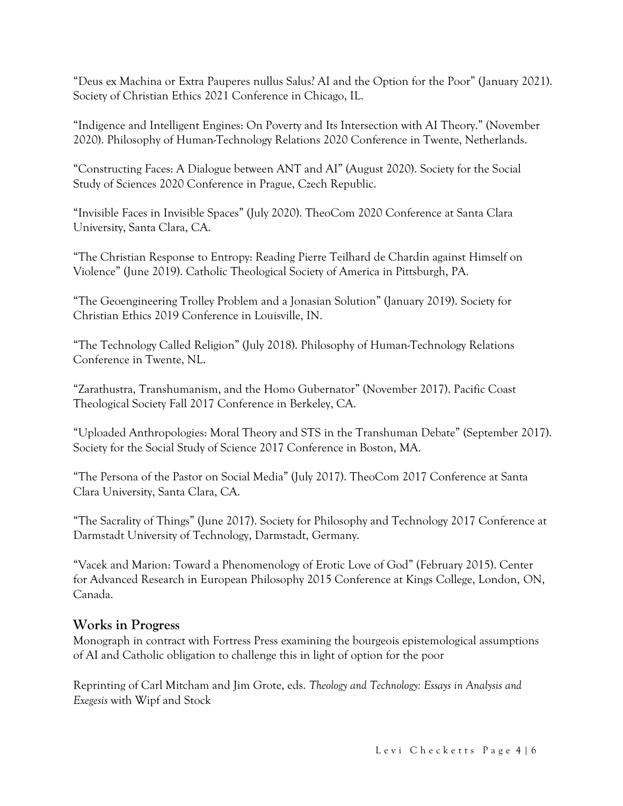"Deus ex Machina or Extra Pauperes nullus Salus? AI and the Option for the Poor" (January 2021). Society of Christian Ethics 2021 Conference in Chicago, IL.

"Indigence and Intelligent Engines: On Poverty and Its Intersection with AI Theory." (November 2020). Philosophy of Human-Technology Relations 2020 Conference in Twente, Netherlands.

"Constructing Faces: A Dialogue between ANT and AI" (August 2020). Society for the Social Study of Sciences 2020 Conference in Prague, Czech Republic.

"Invisible Faces in Invisible Spaces" (July 2020). TheoCom 2020 Conference at Santa Clara University, Santa Clara, CA.

"The Christian Response to Entropy: Reading Pierre Teilhard de Chardin against Himself on Violence" (June 2019). Catholic Theological Society of America in Pittsburgh, PA.

"The Geoengineering Trolley Problem and a Jonasian Solution" (January 2019). Society for Christian Ethics 2019 Conference in Louisville, IN.

"The Technology Called Religion" (July 2018). Philosophy of Human-Technology Relations Conference in Twente, NL.

"Zarathustra, Transhumanism, and the Homo Gubernator" (November 2017). Pacific Coast Theological Society Fall 2017 Conference in Berkeley, CA.

"Uploaded Anthropologies: Moral Theory and STS in the Transhuman Debate" (September 2017). Society for the Social Study of Science 2017 Conference in Boston, MA.

"The Persona of the Pastor on Social Media" (July 2017). TheoCom 2017 Conference at Santa Clara University, Santa Clara, CA.

"The Sacrality of Things" (June 2017). Society for Philosophy and Technology 2017 Conference at Darmstadt University of Technology, Darmstadt, Germany.

"Vacek and Marion: Toward a Phenomenology of Erotic Love of God" (February 2015). Center for Advanced Research in European Philosophy 2015 Conference at Kings College, London, ON, Canada.

### **Works in Progress**

Monograph in contract with Fortress Press examining the bourgeois epistemological assumptions of AI and Catholic obligation to challenge this in light of option for the poor

Reprinting of Carl Mitcham and Jim Grote, eds. *Theology and Technology: Essays in Analysis and Exegesis* with Wipf and Stock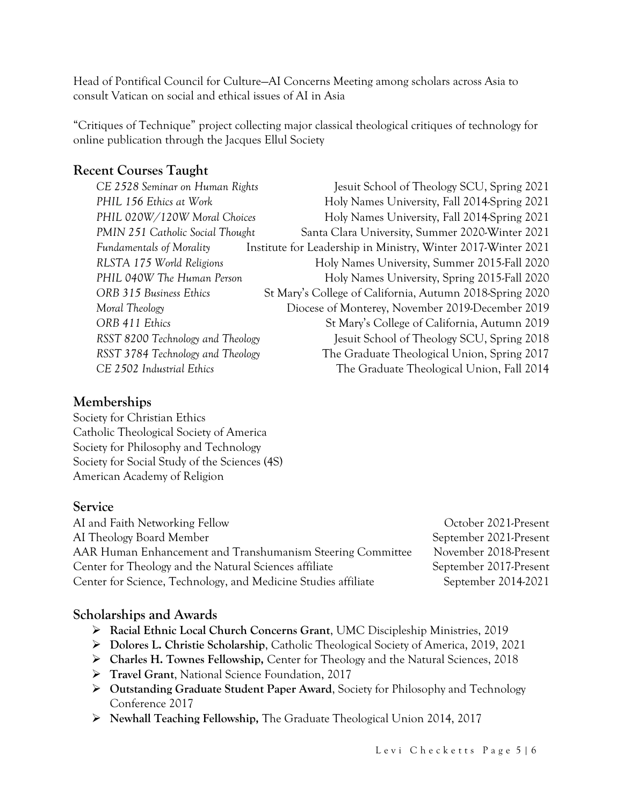Head of Pontifical Council for Culture—AI Concerns Meeting among scholars across Asia to consult Vatican on social and ethical issues of AI in Asia

"Critiques of Technique" project collecting major classical theological critiques of technology for online publication through the Jacques Ellul Society

## **Recent Courses Taught**

| CE 2528 Seminar on Human Rights   | Jesuit School of Theology SCU, Spring 2021                    |
|-----------------------------------|---------------------------------------------------------------|
| PHIL 156 Ethics at Work           | Holy Names University, Fall 2014-Spring 2021                  |
| PHIL 020W/120W Moral Choices      | Holy Names University, Fall 2014-Spring 2021                  |
| PMIN 251 Catholic Social Thought  | Santa Clara University, Summer 2020-Winter 2021               |
| <b>Fundamentals of Morality</b>   | Institute for Leadership in Ministry, Winter 2017-Winter 2021 |
| RLSTA 175 World Religions         | Holy Names University, Summer 2015-Fall 2020                  |
| PHIL 040W The Human Person        | Holy Names University, Spring 2015-Fall 2020                  |
| ORB 315 Business Ethics           | St Mary's College of California, Autumn 2018-Spring 2020      |
| Moral Theology                    | Diocese of Monterey, November 2019-December 2019              |
| ORB 411 Ethics                    | St Mary's College of California, Autumn 2019                  |
| RSST 8200 Technology and Theology | Jesuit School of Theology SCU, Spring 2018                    |
| RSST 3784 Technology and Theology | The Graduate Theological Union, Spring 2017                   |
| CE 2502 Industrial Ethics         | The Graduate Theological Union, Fall 2014                     |

### **Memberships**

Society for Christian Ethics Catholic Theological Society of America Society for Philosophy and Technology Society for Social Study of the Sciences (4S) American Academy of Religion

#### **Service**

AI and Faith Networking Fellow October 2021-Present AI Theology Board Member **September 2021-Present** AAR Human Enhancement and Transhumanism Steering Committee November 2018-Present Center for Theology and the Natural Sciences affiliate September 2017-Present Center for Science, Technology, and Medicine Studies affiliate September 2014-2021

# **Scholarships and Awards**

- ➢ **Racial Ethnic Local Church Concerns Grant**, UMC Discipleship Ministries, 2019
- ➢ **Dolores L. Christie Scholarship**, Catholic Theological Society of America, 2019, 2021
- ➢ **Charles H. Townes Fellowship,** Center for Theology and the Natural Sciences, 2018
- ➢ **Travel Grant**, National Science Foundation, 2017
- ➢ **Outstanding Graduate Student Paper Award**, Society for Philosophy and Technology Conference 2017
- ➢ **Newhall Teaching Fellowship,** The Graduate Theological Union 2014, 2017